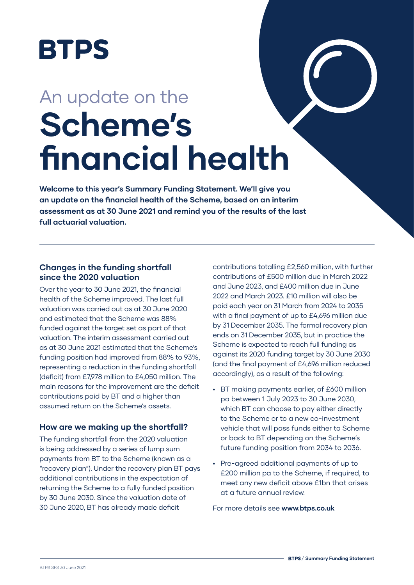

# An update on the **Scheme's financial health**

**Welcome to this year's Summary Funding Statement. We'll give you an update on the financial health of the Scheme, based on an interim assessment as at 30 June 2021 and remind you of the results of the last full actuarial valuation.** 

## **Changes in the funding shortfall since the 2020 valuation**

Over the year to 30 June 2021, the financial health of the Scheme improved. The last full valuation was carried out as at 30 June 2020 and estimated that the Scheme was 88% funded against the target set as part of that valuation. The interim assessment carried out as at 30 June 2021 estimated that the Scheme's funding position had improved from 88% to 93%, representing a reduction in the funding shortfall (deficit) from £7,978 million to £4,050 million. The main reasons for the improvement are the deficit contributions paid by BT and a higher than assumed return on the Scheme's assets.

## **How are we making up the shortfall?**

The funding shortfall from the 2020 valuation is being addressed by a series of lump sum payments from BT to the Scheme (known as a "recovery plan"). Under the recovery plan BT pays additional contributions in the expectation of returning the Scheme to a fully funded position by 30 June 2030. Since the valuation date of 30 June 2020, BT has already made deficit

contributions totalling £2,560 million, with further contributions of £500 million due in March 2022 and June 2023, and £400 million due in June 2022 and March 2023. £10 million will also be paid each year on 31 March from 2024 to 2035 with a final payment of up to £4,696 million due by 31 December 2035. The formal recovery plan ends on 31 December 2035, but in practice the Scheme is expected to reach full funding as against its 2020 funding target by 30 June 2030 (and the final payment of £4,696 million reduced accordingly), as a result of the following:

- **•** BT making payments earlier, of £600 million pa between 1 July 2023 to 30 June 2030, which BT can choose to pay either directly to the Scheme or to a new co-investment vehicle that will pass funds either to Scheme or back to BT depending on the Scheme's future funding position from 2034 to 2036.
- **•** Pre-agreed additional payments of up to £200 million pa to the Scheme, if required, to meet any new deficit above £1bn that arises at a future annual review.

For more details see **www.btps.co.uk**